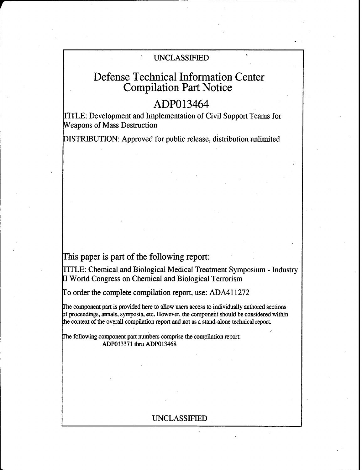## UNCLASSIFIED

# Defense Technical Information Center Compilation Part Notice

## ADPO13464

TITLE: Development and Implementation of Civil Support Teams for Weapons of Mass Destruction

DISTRIBUTION: Approved for public release, distribution unlimited

This paper is part of the following report:

TITLE: Chemical and Biological Medical Treatment Symposium - Industry World Congress on Chemical and Biological Terrorism

To order the complete compilation report, use: ADA411272

The component part is provided here to allow users access to individually authored sections of proceedings, annals, symposia, etc. However, the component should be considered within the context of the overall compilation report and not as a stand-alone technical report.

The following component part numbers comprise the compilation report: ADP013371 thru ADP013468

### UNCLASSIFIED